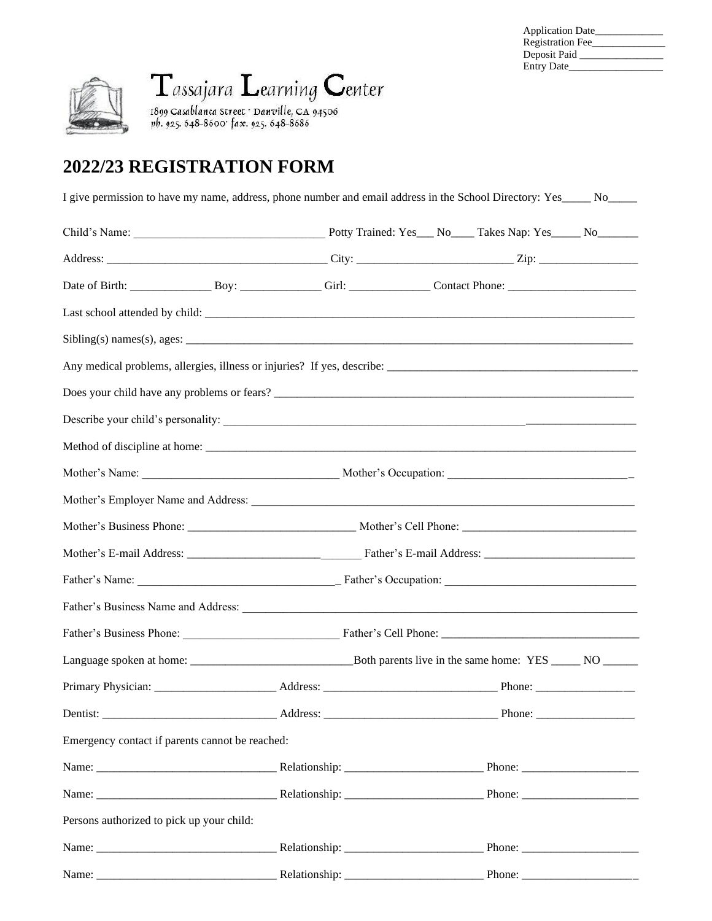| <b>Application Date</b> |  |
|-------------------------|--|
| <b>Registration Fee</b> |  |
| Deposit Paid            |  |
| <b>Entry Date</b>       |  |



Tassajara Learning Center

1899 Casablanca Street · Danville, CA 94506<br>pb. 925. 648-8600 · fax. 925. 648-8686

## **2022/23 REGISTRATION FORM**

| I give permission to have my name, address, phone number and email address in the School Directory: Yes______ No______                                                                                                         |  |  |  |  |  |  |  |  |
|--------------------------------------------------------------------------------------------------------------------------------------------------------------------------------------------------------------------------------|--|--|--|--|--|--|--|--|
|                                                                                                                                                                                                                                |  |  |  |  |  |  |  |  |
|                                                                                                                                                                                                                                |  |  |  |  |  |  |  |  |
|                                                                                                                                                                                                                                |  |  |  |  |  |  |  |  |
|                                                                                                                                                                                                                                |  |  |  |  |  |  |  |  |
|                                                                                                                                                                                                                                |  |  |  |  |  |  |  |  |
|                                                                                                                                                                                                                                |  |  |  |  |  |  |  |  |
|                                                                                                                                                                                                                                |  |  |  |  |  |  |  |  |
|                                                                                                                                                                                                                                |  |  |  |  |  |  |  |  |
|                                                                                                                                                                                                                                |  |  |  |  |  |  |  |  |
|                                                                                                                                                                                                                                |  |  |  |  |  |  |  |  |
| Mother's Employer Name and Address: Manual Address: All Annual Address and Address and Address and Address and Address and Address and Address and Address and Address and Address and Address and Address and Address and Add |  |  |  |  |  |  |  |  |
|                                                                                                                                                                                                                                |  |  |  |  |  |  |  |  |
|                                                                                                                                                                                                                                |  |  |  |  |  |  |  |  |
|                                                                                                                                                                                                                                |  |  |  |  |  |  |  |  |
|                                                                                                                                                                                                                                |  |  |  |  |  |  |  |  |
|                                                                                                                                                                                                                                |  |  |  |  |  |  |  |  |
|                                                                                                                                                                                                                                |  |  |  |  |  |  |  |  |
|                                                                                                                                                                                                                                |  |  |  |  |  |  |  |  |
|                                                                                                                                                                                                                                |  |  |  |  |  |  |  |  |
| Emergency contact if parents cannot be reached:                                                                                                                                                                                |  |  |  |  |  |  |  |  |
|                                                                                                                                                                                                                                |  |  |  |  |  |  |  |  |
|                                                                                                                                                                                                                                |  |  |  |  |  |  |  |  |
| Persons authorized to pick up your child:                                                                                                                                                                                      |  |  |  |  |  |  |  |  |
|                                                                                                                                                                                                                                |  |  |  |  |  |  |  |  |
|                                                                                                                                                                                                                                |  |  |  |  |  |  |  |  |